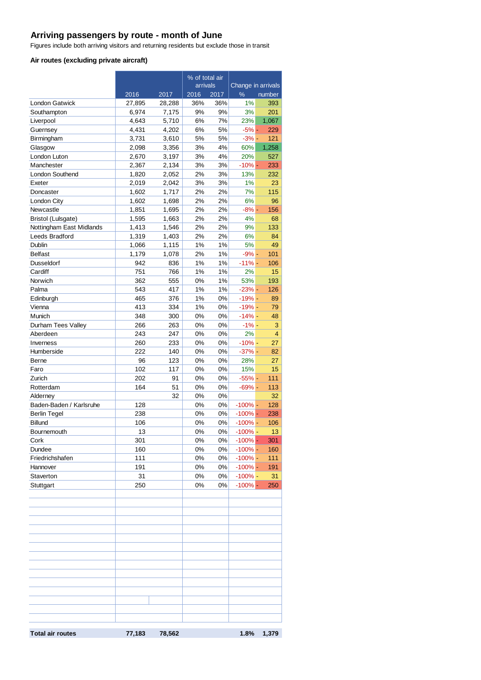# **Arriving passengers by route - month of June**

Figures include both arriving visitors and returning residents but exclude those in transit

#### **Air routes (excluding private aircraft)**

|                          |        | % of total air |          |       |                    |        |  |
|--------------------------|--------|----------------|----------|-------|--------------------|--------|--|
|                          |        |                | arrivals |       | Change in arrivals |        |  |
|                          | 2016   | 2017           | 2016     | 2017  | $\frac{9}{6}$      | number |  |
| <b>London Gatwick</b>    | 27,895 | 28,288         | 36%      | 36%   | 1%                 | 393    |  |
| Southampton              | 6,974  | 7,175          | 9%       | 9%    | 3%                 | 201    |  |
| Liverpool                | 4,643  | 5,710          | 6%       | 7%    | 23%                | 1,067  |  |
| Guernsey                 | 4,431  | 4,202          | 6%       | 5%    | $-5% -$            | 229    |  |
| Birmingham               | 3,731  | 3,610          | 5%       | 5%    | $-3% -$            | 121    |  |
| Glasgow                  | 2,098  | 3,356          | 3%       | 4%    | 60%                | 1,258  |  |
| London Luton             | 2,670  | 3,197          | 3%       | 4%    | 20%                | 527    |  |
| Manchester               | 2,367  | 2,134          | 3%       | 3%    | $-10% -$           | 233    |  |
| <b>London Southend</b>   | 1,820  | 2,052          | 2%       | 3%    | 13%                | 232    |  |
| Exeter                   | 2,019  | 2,042          | 3%       | 3%    | 1%                 | 23     |  |
| Doncaster                | 1,602  | 1,717          | 2%       | 2%    | 7%                 | 115    |  |
| London City              | 1,602  | 1,698          | 2%       | 2%    | 6%                 | 96     |  |
| Newcastle                | 1,851  | 1,695          | 2%       | 2%    | $-8% -$            | 156    |  |
| Bristol (Lulsgate)       | 1,595  | 1,663          | 2%       | 2%    | 4%                 | 68     |  |
| Nottingham East Midlands | 1,413  | 1,546          | 2%       | 2%    | 9%                 | 133    |  |
| Leeds Bradford           | 1,319  | 1,403          | 2%       | 2%    | 6%                 | 84     |  |
| Dublin                   | 1,066  | 1,115          | 1%       | 1%    | 5%                 | 49     |  |
| <b>Belfast</b>           | 1,179  | 1,078          | 2%       | 1%    | $-9\%$ -           | 101    |  |
| Dusseldorf               | 942    | 836            | 1%       | 1%    | $-11% -$           | 106    |  |
| Cardiff                  | 751    | 766            | 1%       | 1%    | 2%                 | 15     |  |
| Norwich                  | 362    | 555            | 0%       | 1%    | 53%                | 193    |  |
| Palma                    | 543    | 417            | 1%       | 1%    | $-23%$ -           | 126    |  |
| Edinburgh                | 465    | 376            | 1%       | 0%    | $-19% -$           | 89     |  |
| Vienna                   | 413    | 334            | 1%       | 0%    | $-19% -$           | 79     |  |
| Munich                   | 348    | 300            | 0%       | 0%    | $-14% -$           | 48     |  |
| Durham Tees Valley       | 266    | 263            | 0%       | 0%    | $-1\%$ -           | 3      |  |
| Aberdeen                 | 243    | 247            | 0%       | 0%    | 2%                 | 4      |  |
| Inverness                | 260    | 233            | 0%       | 0%    | $-10% -$           | 27     |  |
| Humberside               | 222    | 140            | 0%       | 0%    | $-37%$ -           | 82     |  |
| Berne                    | 96     | 123            | 0%       | 0%    | 28%                | 27     |  |
| Faro                     | 102    | 117            | 0%       | 0%    | 15%                | 15     |  |
| Zurich                   | 202    | 91             | 0%       | 0%    | $-55%$ -           | 111    |  |
| Rotterdam                | 164    | 51             | 0%       | 0%    | $-69\%$ -          | 113    |  |
| Alderney                 |        | 32             | 0%       | 0%    |                    | 32     |  |
| Baden-Baden / Karlsruhe  | 128    |                | 0%       | 0%    | $-100%$ -          | 128    |  |
| <b>Berlin Tegel</b>      | 238    |                | 0%       | 0%    | $-100%$ -          | 238    |  |
| <b>Billund</b>           | 106    |                | 0%       | $0\%$ | $-100% -$          | 106    |  |
| Bournemouth              | 13     |                | 0%       | 0%    | $-100% -$          | 13     |  |
| Cork                     | 301    |                | 0%       | 0%    | $-100%$ -          | 301    |  |
| Dundee                   | 160    |                | 0%       | 0%    | $-100%$ -          | 160    |  |
| Friedrichshafen          | 111    |                | 0%       | 0%    | $-100%$ -          | 111    |  |
| Hannover                 | 191    |                | 0%       | 0%    | $-100\%$ -         | 191    |  |
| Staverton                | 31     |                | 0%       | 0%    | $-100\%$ -         | 31     |  |
| Stuttgart                | 250    |                | 0%       | 0%    | $-100%$ -          | 250    |  |
|                          |        |                |          |       |                    |        |  |
|                          |        |                |          |       |                    |        |  |
|                          |        |                |          |       |                    |        |  |
|                          |        |                |          |       |                    |        |  |
|                          |        |                |          |       |                    |        |  |
|                          |        |                |          |       |                    |        |  |
|                          |        |                |          |       |                    |        |  |
|                          |        |                |          |       |                    |        |  |
|                          |        |                |          |       |                    |        |  |
|                          |        |                |          |       |                    |        |  |
|                          |        |                |          |       |                    |        |  |
|                          |        |                |          |       |                    |        |  |
|                          |        |                |          |       |                    |        |  |
|                          |        |                |          |       |                    |        |  |
|                          |        |                |          |       |                    |        |  |
|                          |        |                |          |       |                    |        |  |
| <b>Total air routes</b>  | 77,183 | 78,562         |          |       | 1.8%               | 1,379  |  |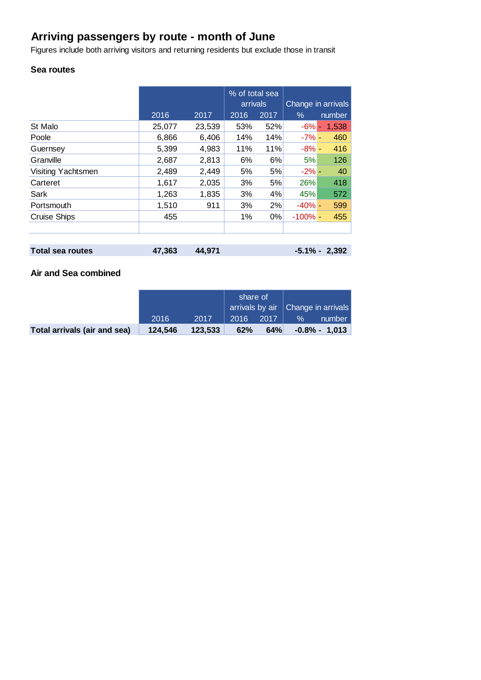# **Arriving passengers by route - month of June**

Figures include both arriving visitors and returning residents but exclude those in transit

### **Sea routes**

|                    |        |        | % of total sea<br>arrivals |       | Change in arrivals |        |
|--------------------|--------|--------|----------------------------|-------|--------------------|--------|
|                    | 2016   | 2017   | 2016                       | 2017  | $\%$               | number |
| St Malo            | 25,077 | 23,539 | 53%                        | 52%   | $-6% -$            | 1,538  |
| Poole              | 6,866  | 6,406  | 14%                        | 14%   | $-7\%$ -           | 460    |
| Guernsey           | 5,399  | 4,983  | 11%                        | 11%   | $-8\%$ -           | 416    |
| Granville          | 2,687  | 2,813  | 6%                         | 6%    | 5%                 | 126    |
| Visiting Yachtsmen | 2,489  | 2,449  | 5%                         | 5%    | $-2\%$ -           | 40     |
| Carteret           | 1,617  | 2,035  | 3%                         | 5%    | 26%                | 418    |
| Sark               | 1,263  | 1,835  | 3%                         | 4%    | 45%                | 572    |
| Portsmouth         | 1,510  | 911    | 3%                         | 2%    | $-40% -$           | 599    |
| Cruise Ships       | 455    |        | 1%                         | $0\%$ | $-100\%$ -         | 455    |
|                    |        |        |                            |       |                    |        |
|                    |        |        |                            |       |                    |        |

| Total sea routes | 47,363 44,971 | $-5.1\% - 2,392$ |  |
|------------------|---------------|------------------|--|
|                  |               |                  |  |

## **Air and Sea combined**

|                              |         |         | share of |      | arrivals by air   Change in arrivals |                      |
|------------------------------|---------|---------|----------|------|--------------------------------------|----------------------|
|                              | 2016    | 2017    | 2016     | 2017 | $\%$                                 | number               |
| Total arrivals (air and sea) | 124.546 | 123.533 | 62%      | 64%  |                                      | $-0.8\%$ - 1.013 $ $ |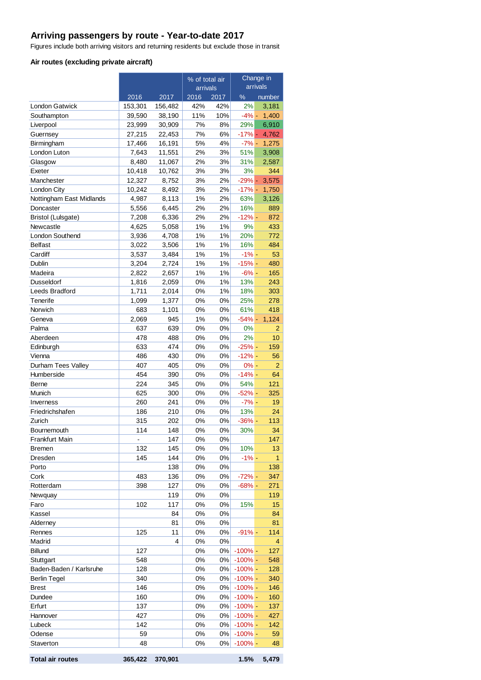## **Arriving passengers by route - Year-to-date 2017**

Figures include both arriving visitors and returning residents but exclude those in transit

#### **Air routes (excluding private aircraft)**

|                          |                |                | % of total air |          | Change in  |                |
|--------------------------|----------------|----------------|----------------|----------|------------|----------------|
|                          |                |                | arrivals       |          |            | arrivals       |
|                          | 2016           | 2017           | 2016           | 2017     | $\%$       | number         |
| London Gatwick           | 153,301        | 156,482        | 42%            | 42%      | 2%         | 3,181          |
| Southampton              | 39,590         | 38,190         | 11%            | 10%      | $-4%$ -    | 1,400          |
| Liverpool                | 23,999         | 30,909         | 7%             | 8%       | 29%        | 6,910          |
| Guernsey                 | 27,215         | 22,453         | 7%<br>5%       | 6%<br>4% | $-17%$ $-$ | 4,762          |
| Birmingham               | 17,466         | 16,191         |                |          | $-7\%$ -   | 1,275          |
| London Luton             | 7,643<br>8,480 | 11,551         | 2%<br>2%       | 3%<br>3% | 51%<br>31% | 3,908<br>2,587 |
| Glasgow<br>Exeter        | 10,418         | 11,067         | 3%             | 3%       | 3%         | 344            |
| Manchester               | 12,327         | 10,762         | 3%             | 2%       | $-29%$ $-$ | 3,575          |
| London City              | 10,242         | 8,752<br>8,492 | 3%             | 2%       | $-17%$ -   | 1,750          |
| Nottingham East Midlands | 4,987          | 8,113          | 1%             | 2%       | 63%        | 3,126          |
| Doncaster                | 5,556          | 6,445          | 2%             | 2%       | 16%        | 889            |
| Bristol (Lulsgate)       | 7,208          | 6,336          | 2%             | 2%       | $-12%$     | 872            |
| Newcastle                | 4,625          | 5,058          | 1%             | 1%       | 9%         | 433            |
| <b>London Southend</b>   | 3,936          | 4,708          | 1%             | 1%       | 20%        | 772            |
| <b>Belfast</b>           | 3,022          | 3,506          | 1%             | 1%       | 16%        | 484            |
| Cardiff                  | 3,537          | 3,484          | 1%             | 1%       | $-1% -$    | 53             |
| Dublin                   | 3.204          | 2,724          | 1%             | 1%       | $-15% -$   | 480            |
| Madeira                  | 2,822          | 2,657          | 1%             | 1%       | $-6% -$    | 165            |
| Dusseldorf               | 1,816          | 2,059          | 0%             | 1%       | 13%        | 243            |
| Leeds Bradford           | 1,711          | 2,014          | 0%             | 1%       | 18%        | 303            |
| Tenerife                 | 1,099          | 1,377          | 0%             | 0%       | 25%        | 278            |
| Norwich                  | 683            | 1,101          | 0%             | 0%       | 61%        | 418            |
| Geneva                   | 2,069          | 945            | 1%             | 0%       | $-54%$     | 1,124          |
| Palma                    | 637            | 639            | 0%             | 0%       | 0%         | $\overline{2}$ |
| Aberdeen                 | 478            | 488            | 0%             | 0%       | 2%         | 10             |
| Edinburgh                | 633            | 474            | 0%             | 0%       | $-25%$     | 159            |
| Vienna                   | 486            | 430            | 0%             | $0\%$    | $-12%$     | 56             |
| Durham Tees Valley       | 407            | 405            | 0%             | 0%       | $0% -$     | 2              |
| Humberside               | 454            | 390            | 0%             | 0%       | $-14%$     | 64             |
| Berne                    | 224            | 345            | 0%             | 0%       | 54%        | 121            |
| Munich                   | 625            | 300            | 0%             | 0%       | $-52%$     | 325            |
| Inverness                | 260            | 241            | 0%             | 0%       | $-7% -$    | 19             |
| Friedrichshafen          | 186            | 210            | 0%             | $0\%$    | 13%        | 24             |
| Zurich                   | 315            | 202            | 0%             | 0%       | $-36%$     | 113            |
| Bournemouth              | 114            | 148            | 0%             | 0%       | 30%        | 34             |
| Frankfurt Main           | $\frac{1}{2}$  | 147            | 0%             | 0%       |            | 147            |
| Bremen                   | 132            | 145            | 0%             | 0%       | 10%        | 13             |
| Dresden                  | 145            | 144            | 0%             | $0\%$    | $-1%$ -    | 1              |
| Porto                    |                | 138            | 0%             | 0%       |            | 138            |
| Cork                     | 483            | 136            | 0%             | 0%       | $-72%$ -   | 347            |
| Rotterdam                | 398            | 127            | 0%             | 0%       | $-68%$     | 271            |
| Newquay                  |                | 119            | 0%             | $0\%$    |            | 119            |
| Faro                     | 102            | 117            | 0%             | 0%       | 15%        | 15             |
| Kassel                   |                | 84             | 0%             | $0\%$    |            | 84             |
| Alderney                 |                | 81             | 0%             | 0%       |            | 81             |
| Rennes                   | 125            | 11             | 0%             | 0%       | $-91%$     | 114            |
| Madrid                   |                | 4              | 0%             | $0\%$    |            | 4              |
| <b>Billund</b>           | 127            |                | 0%             | 0%       | $-100\%$ - | 127            |
| Stuttgart                | 548            |                | 0%             | 0%       | $-100\%$ - | 548            |
| Baden-Baden / Karlsruhe  | 128            |                | 0%             | 0%       | $-100\%$ - | 128            |
| <b>Berlin Tegel</b>      | 340            |                | 0%             | 0%       | $-100%$    | 340            |
| <b>Brest</b>             | 146            |                | 0%             | $0\%$    | $-100\%$ - | 146            |
| Dundee                   | 160            |                | 0%             | 0%       | $-100\%$ - | 160            |
| Erfurt                   | 137            |                | 0%             | 0%       | $-100\%$ - | 137            |
| Hannover                 | 427            |                | 0%             | 0%       | $-100\%$ - | 427            |
| Lubeck                   | 142            |                | 0%             | 0%       | $-100\%$ - | 142            |
| Odense                   | 59             |                | 0%             | 0%       | $-100%$    | 59             |
| Staverton                | 48             |                | 0%             | 0%       | $-100%$    | 48             |

**Total air routes 365,422 370,901 1.5% 5,479**